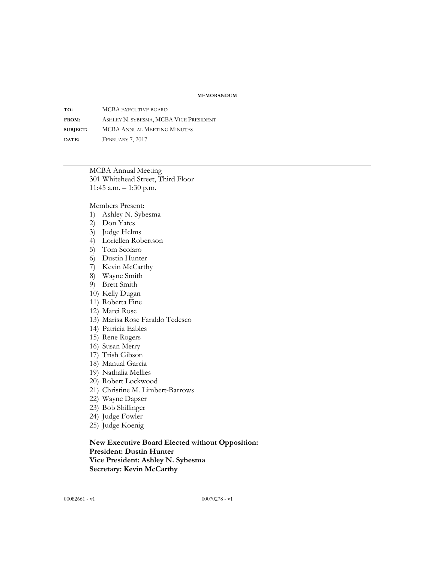#### **MEMORANDUM**

**TO:** MCBA EXECUTIVE BOARD **FROM:** ASHLEY N. SYBESMA, MCBA VICE PRESIDENT **SUBJECT:** MCBA ANNUAL MEETING MINUTES **DATE:** FEBRUARY 7, 2017

> MCBA Annual Meeting 301 Whitehead Street, Third Floor 11:45 a.m. – 1:30 p.m.

Members Present:

- 1) Ashley N. Sybesma
- 2) Don Yates
- 3) Judge Helms
- 4) Loriellen Robertson
- 5) Tom Scolaro
- 6) Dustin Hunter
- 7) Kevin McCarthy
- 8) Wayne Smith
- 9) Brett Smith
- 10) Kelly Dugan
- 11) Roberta Fine
- 12) Marci Rose
- 13) Marisa Rose Faraldo Tedesco
- 14) Patricia Eables
- 15) Rene Rogers
- 16) Susan Merry
- 17) Trish Gibson
- 18) Manual Garcia
- 19) Nathalia Mellies
- 20) Robert Lockwood
- 21) Christine M. Limbert-Barrows
- 22) Wayne Dapser
- 23) Bob Shillinger
- 24) Judge Fowler
- 25) Judge Koenig

**New Executive Board Elected without Opposition: President: Dustin Hunter Vice President: Ashley N. Sybesma Secretary: Kevin McCarthy**